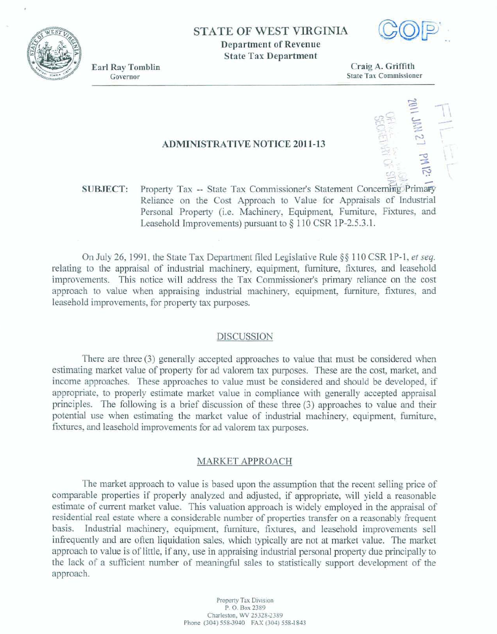**STATE OF WEST** VIRGINIA **Department of Revenue State Tax Department** 



**Earl Ray Tomblin** Governor

*Craig* **A. Grifitb State Tax Commissioner** 

### **ADMINISTRATIVE NOTICE 2011-13**

Property Tax -- State Tax Commissioner's Statement Concerning Primary **SUBJECT: Reliance** on the Cost Approach to Value for Appraisals of Industrial Personal Property (i.e. Machinery, Equipment, Furniture, Fixtures, and Leasehold Improvements) pursuant to § 110 CSR 1P-2.5.3.1.

**On July** 26, **1991, the State** Tax **Department** fled **Legislative** Rule **\$9 1 10 CSR 1P-1, et seq.**  relating to the appraisal of industrial machinery, equipment, furniture, fixtures, and leasehold improvements. This notice will address the Tax Commissioner's primary reliance on the cost approach to value when appraising industrial machinery, equipment, furniture, fixtures, and **leasehold** improvements, **for property tax purposes.** 

#### **DISCUSSION**

**There are** three **(3) generally accepted approaches to** vdue that must **be considered when estimating** market value of **property for** ad **valorem** tax **purposes.** These **are the cost, market,** and **income approaches.** These **approaches** *to* **value must be considered and should be developed, if' appropriate,** to **properly** estimate **mafket** value in **compliance** with **generally accepted appraisal principles.** The **fallowing is a brief** discussion of these **three (3) approaches** to value **and** their **potential use** when **estimating** the **market value** of industrid **machinery, equipment,** furniture, fixtures, and leasehold **improvements for ad** valorem **tax** purposes.

# MARKET APPROACH

The **market approach to** value **is** based upon **the assumption that the recent** selling **price of comparable properties if properly analyzed** and adjusted, if **appropriate,** will **yield a reasonable**  estimate of current market value. This valuation approach is widely employed in the appraisal of **residentid real estate** where **a** considerable number **of properties transfer on a reasonably fkquent basis. Industrial machinery, equipment,** furniture, fixtwes, **and** Ieasehold **improvements sell heating h** are often liquidation sales, which typically are not at market value. The market **approach to value** is of little, if any, **use** in appraising **indwtrid** personal **property due principally to**  *the* **lack of a sufficient number** of mgful **sales to stxiistically support development of** the approach.

> Property **Tax Divlsian P. 0.** Bax **2389 Charleston, WV 25328-2389 Phc (304) 558-3940 FAX** *(304)* **558-1R43**

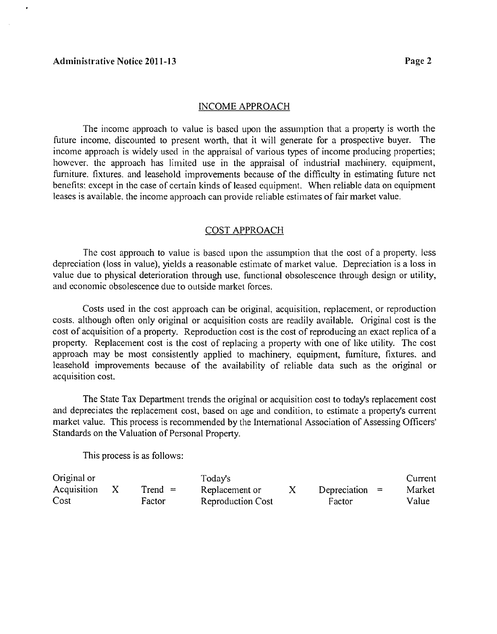#### INCOME APPROACH

The income approach to value is based upon the assumption that a property is worth the hture income, discounted to present worth, that it will generate for a prospective buyer. The income approach is widely used in the appraisal of various types of income producing properties; however. the approach has limited use in the appraisal of industrial machinery, equipment, furniture. fixtures. and leasehold improvements because of the difficulty in estimating future net benefits: except in the case of certain kinds of leased equipment. When reliable data on equipment leascs is available, the income approach can provide reliable estimates of fair market value.

# COST APPROACH

The cost approach to value is based upon the assumption that the cost of a property, less depreciation (loss in value), yields a reasonable estimate of market value. Depreciation is a loss in value due to physical deterioration through use, functional obsolescence through design or utility, and economic obsolescence due to outside market forces.

Costs used in the cost approach can be original, acquisition, replacement, or reproduction costs. although often only original or acquisition costs are readily available. Original cost is the cost of acquisition of a property. Reproduction cost is the cost of reproducing an exact replica of a property. Replacement cost is the cost of replacing a property with one of like utility. The cost approach may be most consistently applied to machinery, equipment, furniture, fixtures, and leasehold improvements because of the availability of reliable data such as the original or acquisition cost.

The State Tax Department trends the original or acquisition cost to today's replacement cost and depreciates the replacement cost, based on age and condition, to estimate a property's current market value. This process is recommended by the International Association of Assessing Officers' Standards on the Valuation of Personal Property.

This process is as follows:

| Original or |           | Today's                  |                  | Current |
|-------------|-----------|--------------------------|------------------|---------|
| Acquisition | $Trend =$ | Replacement or           | Depreciation $=$ | Market  |
| Cost        | Factor    | <b>Reproduction Cost</b> | Factor           | Value   |